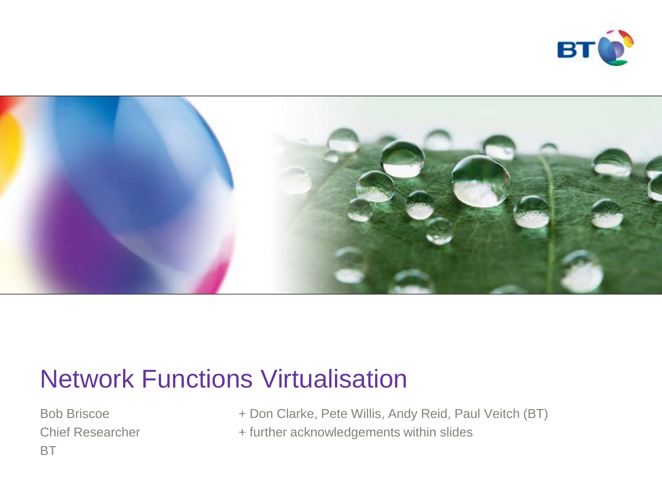



#### Network Functions Virtualisation

BT

Bob Briscoe + Don Clarke, Pete Willis, Andy Reid, Paul Veitch (BT)

Chief Researcher + further acknowledgements within slides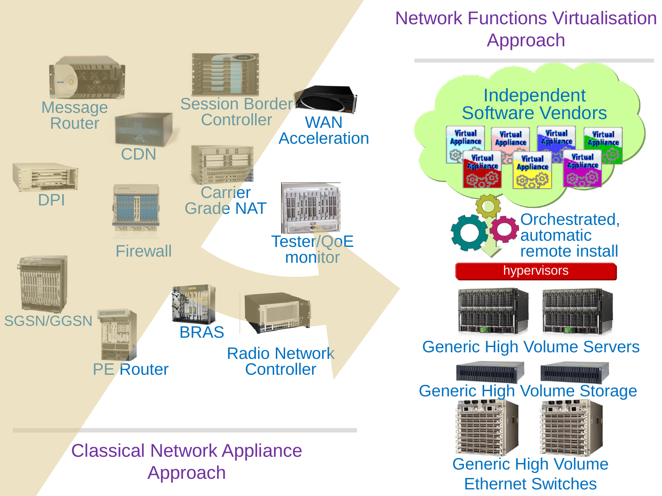#### Network Functions Virtualisation Approach

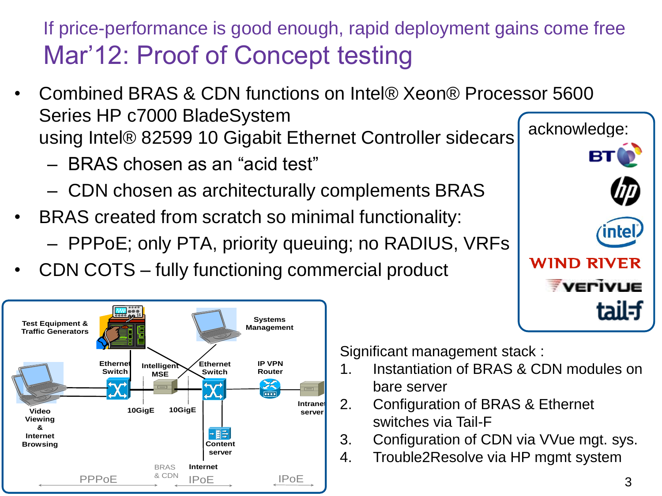#### If price-performance is good enough, rapid deployment gains come free Mar'12: Proof of Concept testing

- Combined BRAS & CDN functions on Intel® Xeon® Processor 5600 Series HP c7000 BladeSystem using Intel® 82599 10 Gigabit Ethernet Controller sidecars
	- BRAS chosen as an "acid test"
	- CDN chosen as architecturally complements BRAS
- BRAS created from scratch so minimal functionality:
	- PPPoE; only PTA, priority queuing; no RADIUS, VRFs
- CDN COTS fully functioning commercial product



Significant management stack :

- 1. Instantiation of BRAS & CDN modules on bare server
- 2. Configuration of BRAS & Ethernet switches via Tail-F
- 3. Configuration of CDN via VVue mgt. sys.
- 4. Trouble2Resolve via HP mgmt system

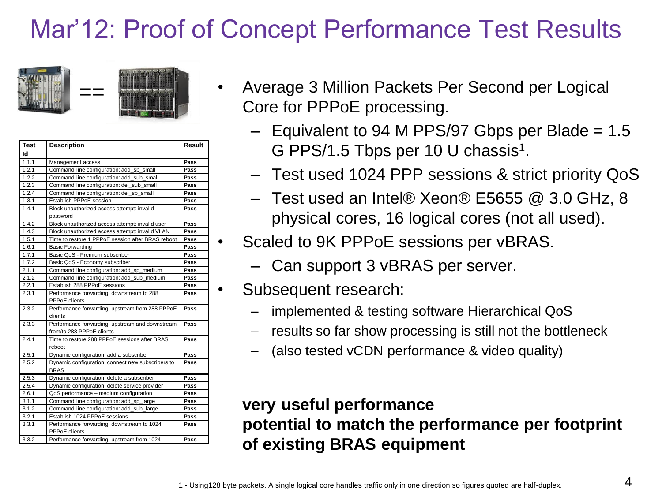# Mar'12: Proof of Concept Performance Test Results



| <b>Test</b> | <b>Description</b>                                | Result |
|-------------|---------------------------------------------------|--------|
| Id          |                                                   |        |
| 1.1.1       | Management access                                 | Pass   |
| 1.2.1       | Command line configuration: add_sp_small          | Pass   |
| 1.2.2       | Command line configuration: add_sub_small         | Pass   |
| 1.2.3       | Command line configuration: del sub small         | Pass   |
| 1.2.4       | Command line configuration: del_sp_small          | Pass   |
| 1.3.1       | Establish PPPoE session                           | Pass   |
| 1.4.1       | Block unauthorized access attempt: invalid        | Pass   |
|             | password                                          |        |
| 1.4.2       | Block unauthorized access attempt: invalid user   | Pass   |
| 1.4.3       | Block unauthorized access attempt: invalid VLAN   | Pass   |
| 1.5.1       | Time to restore 1 PPPoE session after BRAS reboot | Pass   |
| 1.6.1       | <b>Basic Forwarding</b>                           | Pass   |
| 1.7.1       | Basic QoS - Premium subscriber                    | Pass   |
| 1.7.2       | Basic QoS - Economy subscriber                    | Pass   |
| 2.1.1       | Command line configuration: add_sp_medium         | Pass   |
| 2.1.2       | Command line configuration: add_sub_medium        | Pass   |
| 2.2.1       | Establish 288 PPPoE sessions                      | Pass   |
| 2.3.1       | Performance forwarding: downstream to 288         | Pass   |
|             | PPPoE clients                                     |        |
| 2.3.2       | Performance forwarding: upstream from 288 PPPoE   | Pass   |
|             | clients                                           |        |
| 2.3.3       | Performance forwarding: upstream and downstream   | Pass   |
|             | from/to 288 PPPoE clients                         |        |
| 2.4.1       | Time to restore 288 PPPoE sessions after BRAS     | Pass   |
|             | reboot                                            |        |
| 2.5.1       | Dynamic configuration: add a subscriber           | Pass   |
| 2.5.2       | Dynamic configuration: connect new subscribers to | Pass   |
|             | <b>BRAS</b>                                       |        |
| 2.5.3       | Dynamic configuration: delete a subscriber        | Pass   |
| 2.5.4       | Dynamic configuration: delete service provider    | Pass   |
| 2.6.1       | QoS performance - medium configuration            | Pass   |
| 3.1.1       | Command line configuration: add_sp_large          | Pass   |
| 3.1.2       | Command line configuration: add_sub_large         | Pass   |
| 3.2.1       | Establish 1024 PPPoE sessions                     | Pass   |
| 3.3.1       | Performance forwarding: downstream to 1024        | Pass   |
|             | <b>PPPoE</b> clients                              |        |
| 3.3.2       | Performance forwarding: upstream from 1024        | Pass   |

- Average 3 Million Packets Per Second per Logical Core for PPPoE processing.
	- $-$  Equivalent to 94 M PPS/97 Gbps per Blade = 1.5 G PPS/1.5 Tbps per 10 U chassis<sup>1</sup>.
	- Test used 1024 PPP sessions & strict priority QoS
	- Test used an Intel® Xeon® E5655 @ 3.0 GHz, 8 physical cores, 16 logical cores (not all used).
- Scaled to 9K PPPoE sessions per vBRAS.
	- Can support 3 vBRAS per server.
	- Subsequent research:
		- implemented & testing software Hierarchical QoS
		- results so far show processing is still not the bottleneck
		- (also tested vCDN performance & video quality)

#### **very useful performance potential to match the performance per footprint of existing BRAS equipment**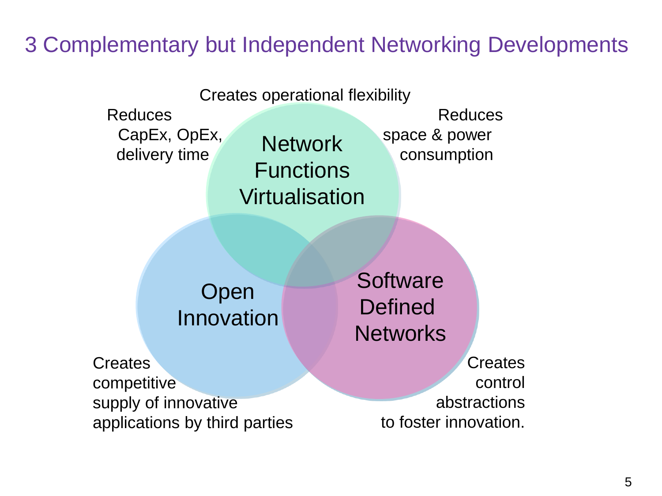#### 3 Complementary but Independent Networking Developments

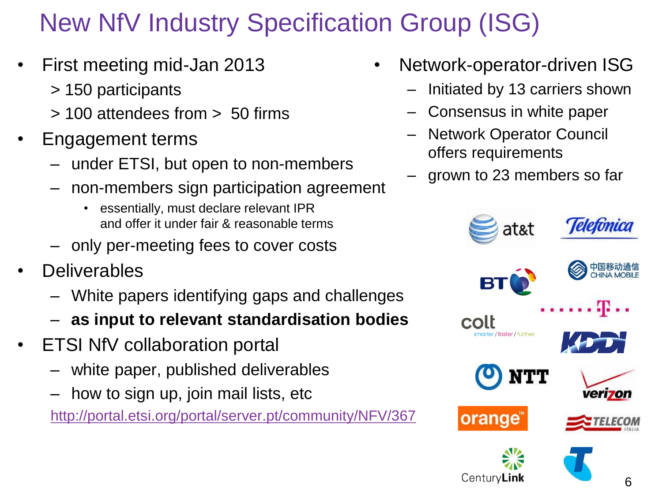# New NfV Industry Specification Group (ISG)

- First meeting mid-Jan 2013
	- > 150 participants
	- > 100 attendees from > 50 firms
- Engagement terms
	- under ETSI, but open to non-members
	- non-members sign participation agreement
		- essentially, must declare relevant IPR and offer it under fair & reasonable terms
	- only per-meeting fees to cover costs
- **Deliverables** 
	- White papers identifying gaps and challenges
	- **as input to relevant standardisation bodies**
- ETSI NfV collaboration portal
	- white paper, published deliverables
	- how to sign up, join mail lists, etc

<http://portal.etsi.org/portal/server.pt/community/NFV/367>

- Network-operator-driven ISG
	- Initiated by 13 carriers shown
	- Consensus in white paper
	- Network Operator Council offers requirements
	- grown to 23 members so far

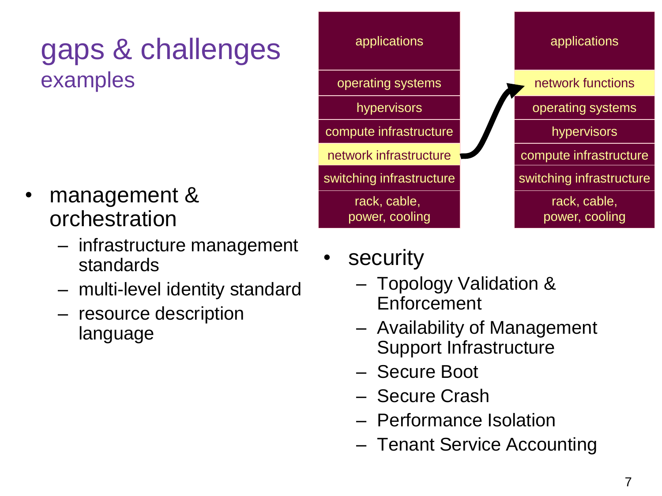# gaps & challenges examples

- management & orchestration
	- infrastructure management standards
	- multi-level identity standard
	- resource description language



- **security** 
	- Topology Validation & Enforcement
	- Availability of Management Support Infrastructure
	- Secure Boot
	- Secure Crash
	- Performance Isolation
	- Tenant Service Accounting

rack, cable,

hypervisors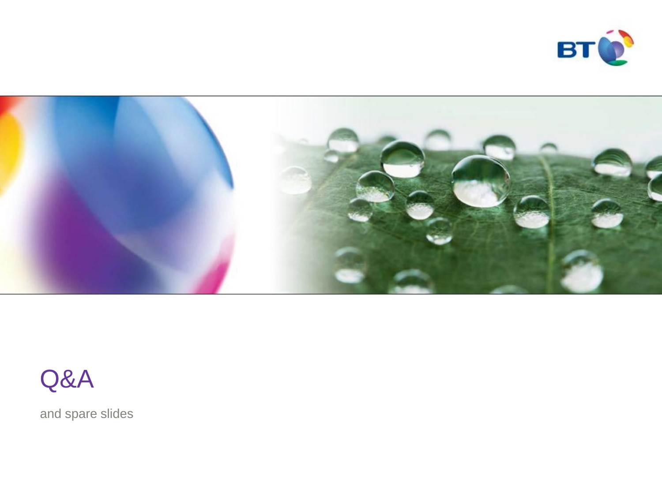



#### Q&A

and spare slides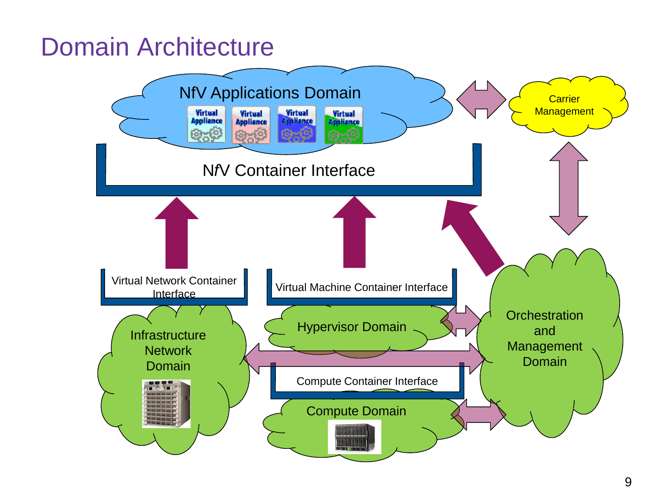#### Domain Architecture

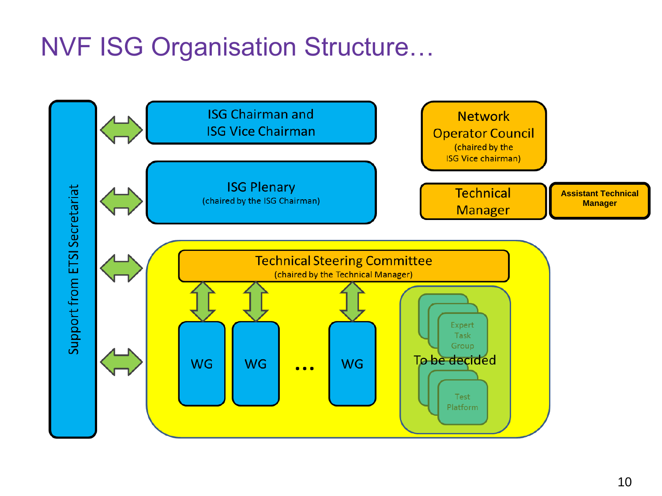## NVF ISG Organisation Structure…

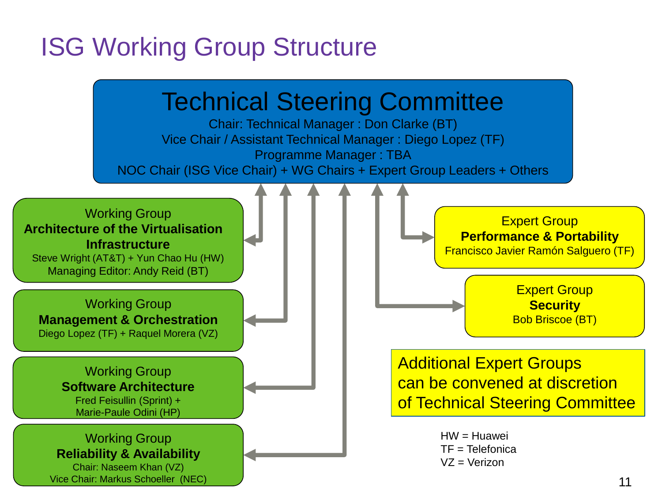### ISG Working Group Structure

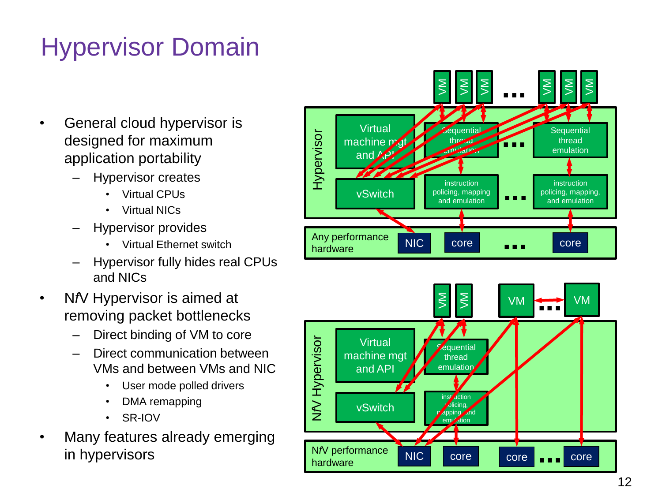# Hypervisor Domain

- General cloud hypervisor is designed for maximum application portability
	- Hypervisor creates
		- Virtual CPUs
		- Virtual NICs
	- Hypervisor provides
		- Virtual Ethernet switch
	- Hypervisor fully hides real CPUs and NICs
- N*f*V Hypervisor is aimed at removing packet bottlenecks
	- Direct binding of VM to core
	- Direct communication between VMs and between VMs and NIC
		- User mode polled drivers
		- DMA remapping
		- SR-IOV
- Many features already emerging in hypervisors